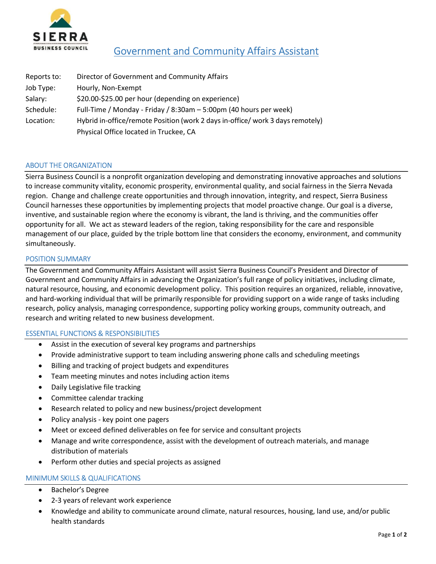

# Government and Community Affairs Assistant

| Reports to: | Director of Government and Community Affairs                                   |
|-------------|--------------------------------------------------------------------------------|
| Job Type:   | Hourly, Non-Exempt                                                             |
| Salary:     | \$20.00-\$25.00 per hour (depending on experience)                             |
| Schedule:   | Full-Time / Monday - Friday / 8:30am - 5:00pm (40 hours per week)              |
| Location:   | Hybrid in-office/remote Position (work 2 days in-office/ work 3 days remotely) |
|             | Physical Office located in Truckee, CA                                         |

## ABOUT THE ORGANIZATION

Sierra Business Council is a nonprofit organization developing and demonstrating innovative approaches and solutions to increase community vitality, economic prosperity, environmental quality, and social fairness in the Sierra Nevada region. Change and challenge create opportunities and through innovation, integrity, and respect, Sierra Business Council harnesses these opportunities by implementing projects that model proactive change. Our goal is a diverse, inventive, and sustainable region where the economy is vibrant, the land is thriving, and the communities offer opportunity for all. We act as steward leaders of the region, taking responsibility for the care and responsible management of our place, guided by the triple bottom line that considers the economy, environment, and community simultaneously.

#### POSITION SUMMARY

The Government and Community Affairs Assistant will assist Sierra Business Council's President and Director of Government and Community Affairs in advancing the Organization's full range of policy initiatives, including climate, natural resource, housing, and economic development policy. This position requires an organized, reliable, innovative, and hard-working individual that will be primarily responsible for providing support on a wide range of tasks including research, policy analysis, managing correspondence, supporting policy working groups, community outreach, and research and writing related to new business development.

#### ESSENTIAL FUNCTIONS & RESPONSIBILITIES

- Assist in the execution of several key programs and partnerships
- Provide administrative support to team including answering phone calls and scheduling meetings
- Billing and tracking of project budgets and expenditures
- Team meeting minutes and notes including action items
- Daily Legislative file tracking
- Committee calendar tracking
- Research related to policy and new business/project development
- Policy analysis key point one pagers
- Meet or exceed defined deliverables on fee for service and consultant projects
- Manage and write correspondence, assist with the development of outreach materials, and manage distribution of materials
- Perform other duties and special projects as assigned

#### MINIMUM SKILLS & QUALIFICATIONS

- Bachelor's Degree
- 2-3 years of relevant work experience
- Knowledge and ability to communicate around climate, natural resources, housing, land use, and/or public health standards